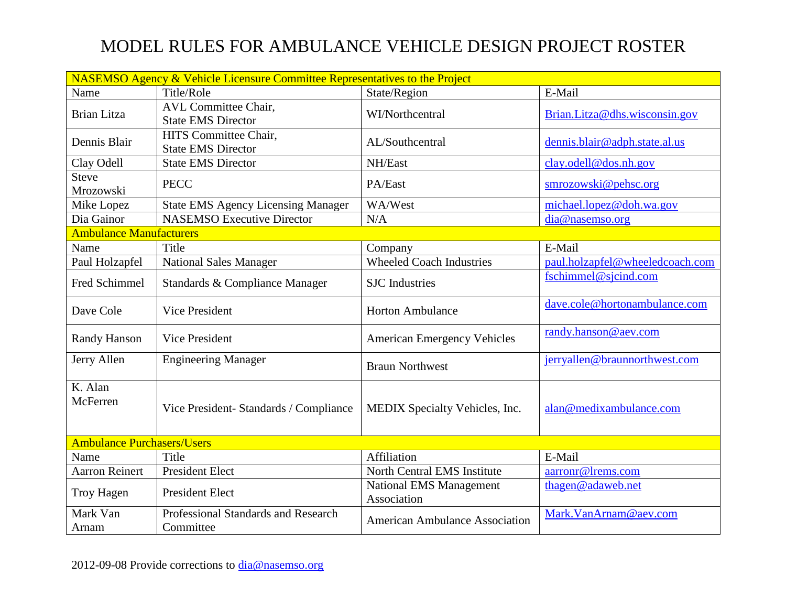## MODEL RULES FOR AMBULANCE VEHICLE DESIGN PROJECT ROSTER

| <b>NASEMSO Agency &amp; Vehicle Licensure Committee Representatives to the Project</b> |                                                          |                                               |                                 |  |
|----------------------------------------------------------------------------------------|----------------------------------------------------------|-----------------------------------------------|---------------------------------|--|
| Name                                                                                   | Title/Role                                               | State/Region                                  | E-Mail                          |  |
| <b>Brian Litza</b>                                                                     | <b>AVL Committee Chair,</b><br><b>State EMS Director</b> | <b>WI/Northcentral</b>                        | Brian.Litza@dhs.wisconsin.gov   |  |
| Dennis Blair                                                                           | HITS Committee Chair,<br><b>State EMS Director</b>       | AL/Southcentral                               | dennis.blair@adph.state.al.us   |  |
| Clay Odell                                                                             | <b>State EMS Director</b>                                | NH/East                                       | clay.odell@dos.nh.gov           |  |
| <b>Steve</b><br>Mrozowski                                                              | <b>PECC</b>                                              | PA/East                                       | smrozowski@pehsc.org            |  |
| Mike Lopez                                                                             | <b>State EMS Agency Licensing Manager</b>                | WA/West                                       | michael.lopez@doh.wa.gov        |  |
| Dia Gainor                                                                             | <b>NASEMSO Executive Director</b>                        | N/A                                           | dia@nasemso.org                 |  |
| <b>Ambulance Manufacturers</b>                                                         |                                                          |                                               |                                 |  |
| Name                                                                                   | Title                                                    | Company                                       | E-Mail                          |  |
| Paul Holzapfel                                                                         | National Sales Manager                                   | <b>Wheeled Coach Industries</b>               | paul.holzapfel@wheeledcoach.com |  |
| <b>Fred Schimmel</b>                                                                   | Standards & Compliance Manager                           | <b>SJC</b> Industries                         | fschimmel@sjcind.com            |  |
| Dave Cole                                                                              | <b>Vice President</b>                                    | <b>Horton Ambulance</b>                       | dave.cole@hortonambulance.com   |  |
| <b>Randy Hanson</b>                                                                    | <b>Vice President</b>                                    | <b>American Emergency Vehicles</b>            | randy.hanson@aev.com            |  |
| Jerry Allen                                                                            | <b>Engineering Manager</b>                               | <b>Braun Northwest</b>                        | jerryallen@braunnorthwest.com   |  |
| K. Alan<br>McFerren                                                                    | Vice President-Standards / Compliance                    | MEDIX Specialty Vehicles, Inc.                | alan@medixambulance.com         |  |
| <b>Ambulance Purchasers/Users</b>                                                      |                                                          |                                               |                                 |  |
| Name                                                                                   | Title                                                    | Affiliation                                   | E-Mail                          |  |
| <b>Aarron Reinert</b>                                                                  | <b>President Elect</b>                                   | North Central EMS Institute                   | aarronr@lrems.com               |  |
| <b>Troy Hagen</b>                                                                      | <b>President Elect</b>                                   | <b>National EMS Management</b><br>Association | thagen@adaweb.net               |  |
| Mark Van<br>Arnam                                                                      | Professional Standards and Research<br>Committee         | <b>American Ambulance Association</b>         | Mark.VanArnam@aev.com           |  |